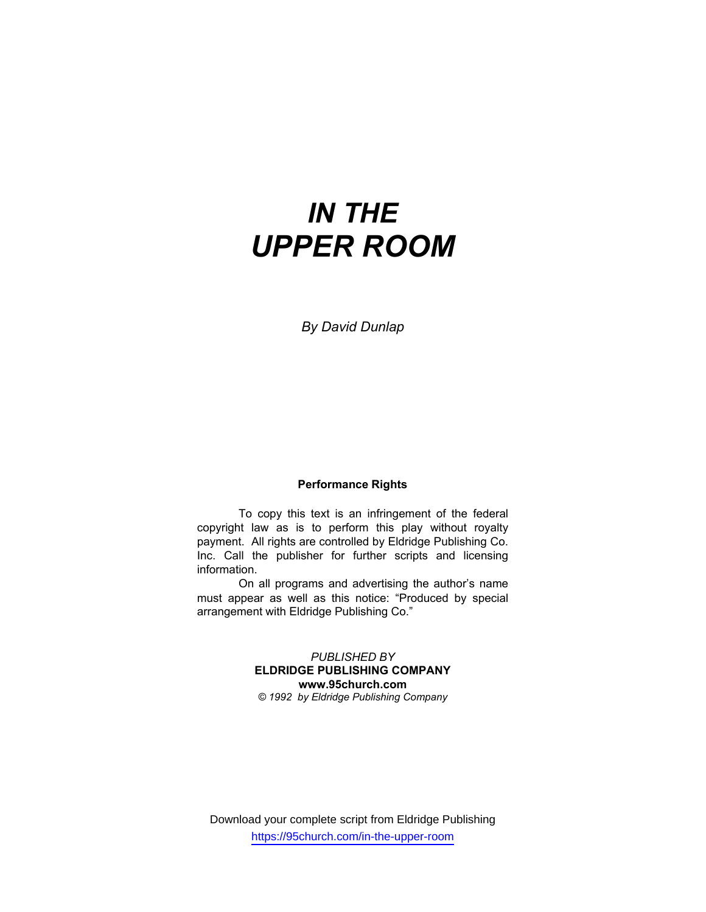# *IN THE UPPER ROOM*

*By David Dunlap*

#### **Performance Rights**

 To copy this text is an infringement of the federal copyright law as is to perform this play without royalty payment. All rights are controlled by Eldridge Publishing Co. Inc. Call the publisher for further scripts and licensing information.

 On all programs and advertising the author's name must appear as well as this notice: "Produced by special arrangement with Eldridge Publishing Co."

### *PUBLISHED BY*  **ELDRIDGE PUBLISHING COMPANY www.95church.com**  *© 1992 by Eldridge Publishing Company*

Download your complete script from Eldridge Publishing https://95church.com/in-the-upper-room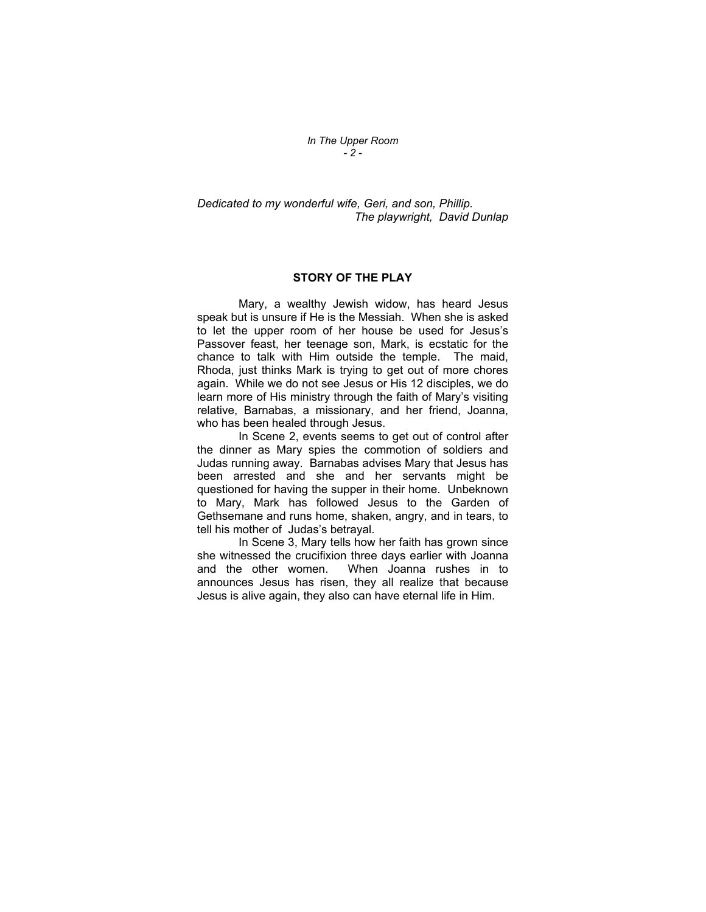*In The Upper Room - 2 -* 

*Dedicated to my wonderful wife, Geri, and son, Phillip. The playwright, David Dunlap* 

#### **STORY OF THE PLAY**

 Mary, a wealthy Jewish widow, has heard Jesus speak but is unsure if He is the Messiah. When she is asked to let the upper room of her house be used for Jesus's Passover feast, her teenage son, Mark, is ecstatic for the chance to talk with Him outside the temple. The maid, Rhoda, just thinks Mark is trying to get out of more chores again. While we do not see Jesus or His 12 disciples, we do learn more of His ministry through the faith of Mary's visiting relative, Barnabas, a missionary, and her friend, Joanna, who has been healed through Jesus.

 In Scene 2, events seems to get out of control after the dinner as Mary spies the commotion of soldiers and Judas running away. Barnabas advises Mary that Jesus has been arrested and she and her servants might be questioned for having the supper in their home. Unbeknown to Mary, Mark has followed Jesus to the Garden of Gethsemane and runs home, shaken, angry, and in tears, to tell his mother of Judas's betrayal.

 In Scene 3, Mary tells how her faith has grown since she witnessed the crucifixion three days earlier with Joanna and the other women. When Joanna rushes in to announces Jesus has risen, they all realize that because Jesus is alive again, they also can have eternal life in Him.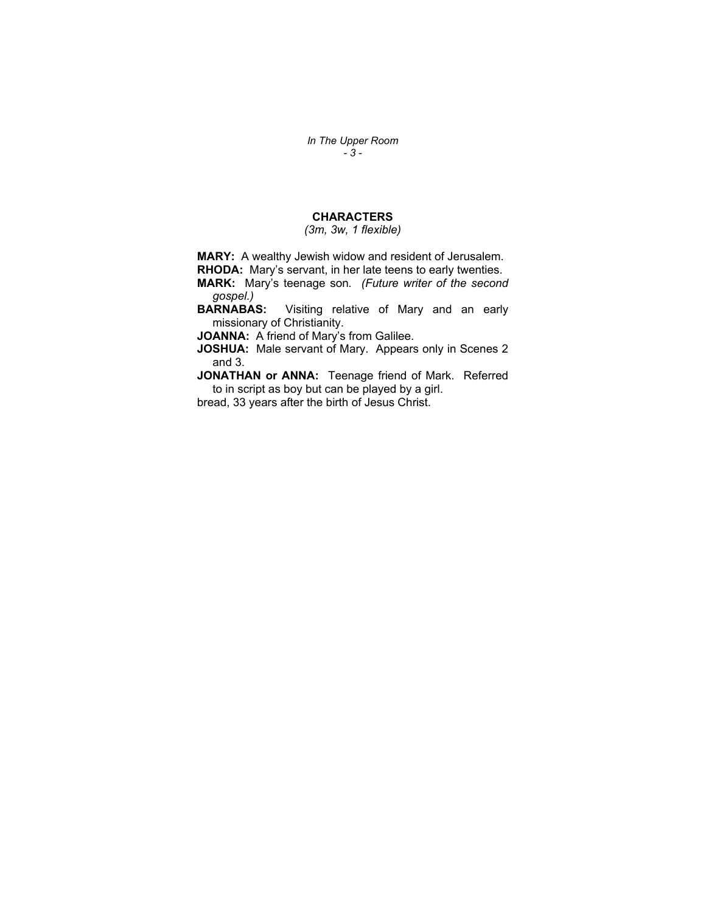*In The Upper Room - 3 -* 

# **CHARACTERS**

*(3m, 3w, 1 flexible)*

**MARY:** A wealthy Jewish widow and resident of Jerusalem. **RHODA:** Mary's servant, in her late teens to early twenties.

**MARK:** Mary's teenage son*. (Future writer of the second gospel.)*

**BARNABAS:** Visiting relative of Mary and an early missionary of Christianity.

**JOANNA:** A friend of Mary's from Galilee.

**JOSHUA:** Male servant of Mary. Appears only in Scenes 2 and 3.

**JONATHAN or ANNA:** Teenage friend of Mark. Referred to in script as boy but can be played by a girl.

bread, 33 years after the birth of Jesus Christ.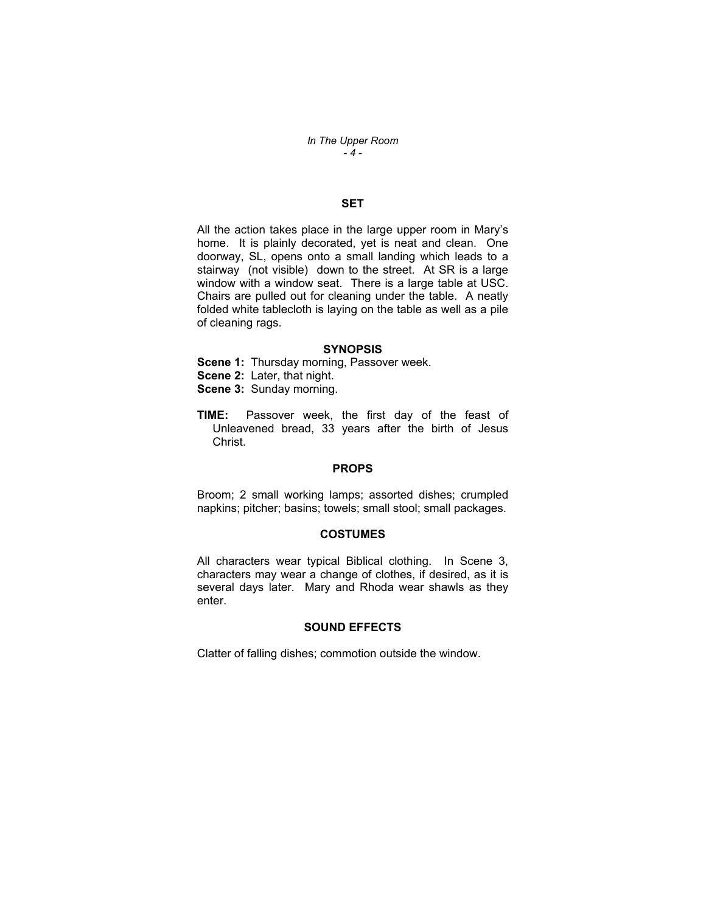*In The Upper Room - 4 -* 

# **SET**

All the action takes place in the large upper room in Mary's home. It is plainly decorated, yet is neat and clean. One doorway, SL, opens onto a small landing which leads to a stairway (not visible) down to the street. At SR is a large window with a window seat. There is a large table at USC. Chairs are pulled out for cleaning under the table. A neatly folded white tablecloth is laying on the table as well as a pile of cleaning rags.

## **SYNOPSIS**

**Scene 1:** Thursday morning, Passover week. **Scene 2:** Later, that night. **Scene 3:** Sunday morning.

**TIME:** Passover week, the first day of the feast of Unleavened bread, 33 years after the birth of Jesus Christ.

#### **PROPS**

Broom; 2 small working lamps; assorted dishes; crumpled napkins; pitcher; basins; towels; small stool; small packages.

#### **COSTUMES**

All characters wear typical Biblical clothing. In Scene 3, characters may wear a change of clothes, if desired, as it is several days later. Mary and Rhoda wear shawls as they enter.

### **SOUND EFFECTS**

Clatter of falling dishes; commotion outside the window.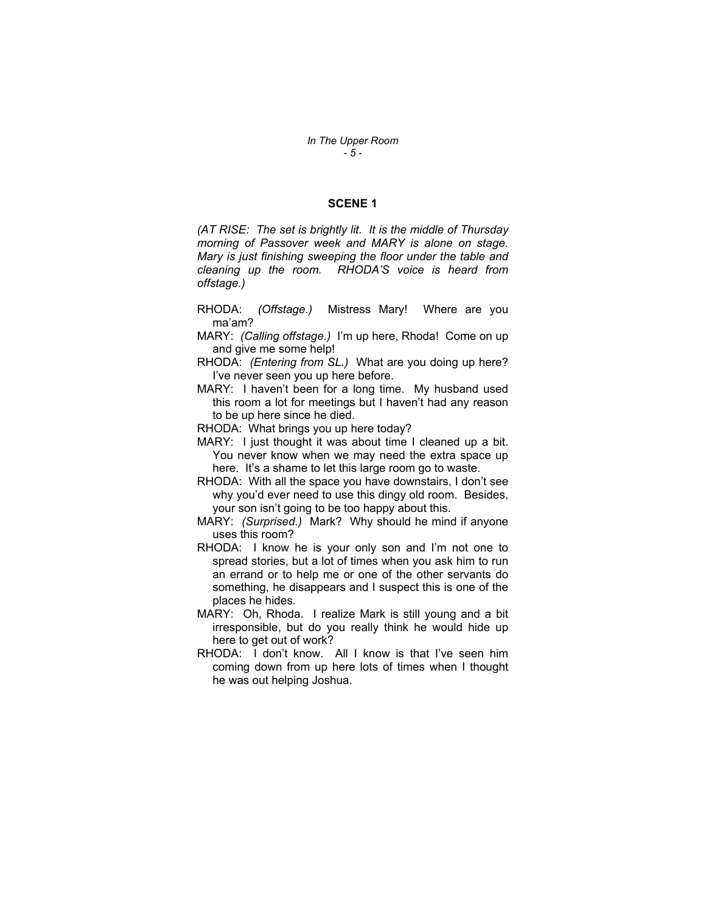### **SCENE 1**

*(AT RISE: The set is brightly lit. It is the middle of Thursday morning of Passover week and MARY is alone on stage. Mary is just finishing sweeping the floor under the table and cleaning up the room. RHODA'S voice is heard from offstage.)* 

- RHODA: *(Offstage.)* Mistress Mary! Where are you ma'am?
- MARY: *(Calling offstage.)* I'm up here, Rhoda! Come on up and give me some help!
- RHODA: *(Entering from SL.)* What are you doing up here? I've never seen you up here before.
- MARY: I haven't been for a long time. My husband used this room a lot for meetings but I haven't had any reason to be up here since he died.

RHODA: What brings you up here today?

MARY: I just thought it was about time I cleaned up a bit. You never know when we may need the extra space up here. It's a shame to let this large room go to waste.

RHODA: With all the space you have downstairs, I don't see why you'd ever need to use this dingy old room. Besides, your son isn't going to be too happy about this.

- MARY: *(Surprised.)* Mark? Why should he mind if anyone uses this room?
- RHODA: I know he is your only son and I'm not one to spread stories, but a lot of times when you ask him to run an errand or to help me or one of the other servants do something, he disappears and I suspect this is one of the places he hides.
- MARY: Oh, Rhoda. I realize Mark is still young and a bit irresponsible, but do you really think he would hide up here to get out of work?
- RHODA: I don't know. All I know is that I've seen him coming down from up here lots of times when I thought he was out helping Joshua.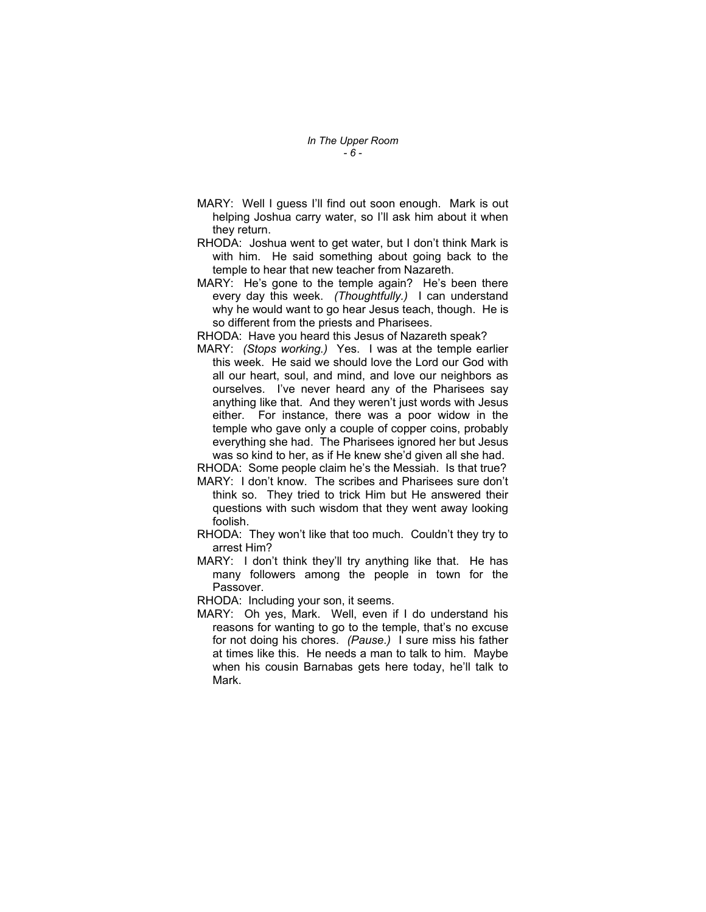- MARY: Well I quess I'll find out soon enough. Mark is out helping Joshua carry water, so I'll ask him about it when they return.
- RHODA: Joshua went to get water, but I don't think Mark is with him. He said something about going back to the temple to hear that new teacher from Nazareth.
- MARY: He's gone to the temple again? He's been there every day this week. *(Thoughtfully.)* I can understand why he would want to go hear Jesus teach, though. He is so different from the priests and Pharisees.

RHODA: Have you heard this Jesus of Nazareth speak?

MARY: *(Stops working.)* Yes. I was at the temple earlier this week. He said we should love the Lord our God with all our heart, soul, and mind, and love our neighbors as ourselves. I've never heard any of the Pharisees say anything like that. And they weren't just words with Jesus either. For instance, there was a poor widow in the temple who gave only a couple of copper coins, probably everything she had. The Pharisees ignored her but Jesus was so kind to her, as if He knew she'd given all she had.

RHODA: Some people claim he's the Messiah. Is that true? MARY: I don't know. The scribes and Pharisees sure don't think so. They tried to trick Him but He answered their questions with such wisdom that they went away looking

foolish.

- RHODA: They won't like that too much. Couldn't they try to arrest Him?
- MARY: I don't think they'll try anything like that. He has many followers among the people in town for the Passover.

RHODA: Including your son, it seems.

MARY: Oh yes, Mark. Well, even if I do understand his reasons for wanting to go to the temple, that's no excuse for not doing his chores. *(Pause.)* I sure miss his father at times like this. He needs a man to talk to him. Maybe when his cousin Barnabas gets here today, he'll talk to Mark.